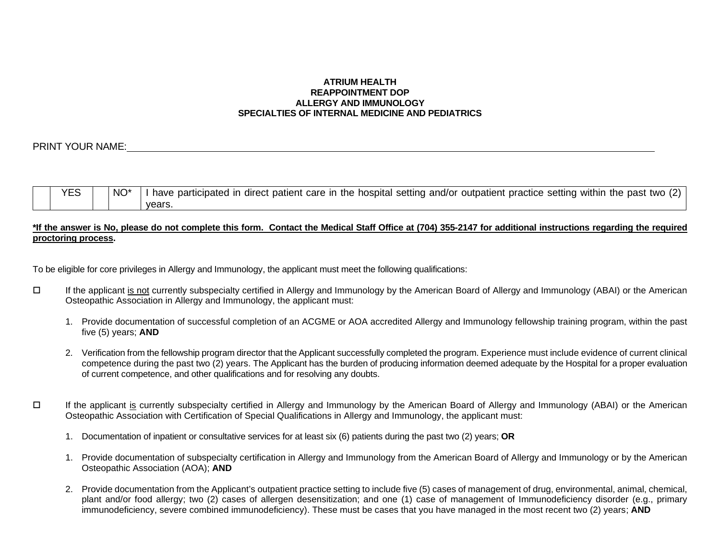#### **ATRIUM HEALTH REAPPOINTMENT DOP ALLERGY AND IMMUNOLOGY SPECIALTIES OF INTERNAL MEDICINE AND PEDIATRICS**

## PRINT YOUR NAME:

| <b>YES</b> | NO <sup>*</sup> | I have participated in direct patient care in the hospital setting and/or outpatient practice setting within the past two (2) |
|------------|-----------------|-------------------------------------------------------------------------------------------------------------------------------|
|            |                 | vears.                                                                                                                        |

### **\*If the answer is No, please do not complete this form. Contact the Medical Staff Office at (704) 355-2147 for additional instructions regarding the required proctoring process.**

To be eligible for core privileges in Allergy and Immunology, the applicant must meet the following qualifications:

- If the applicant is not currently subspecialty certified in Allergy and Immunology by the American Board of Allergy and Immunology (ABAI) or the American Osteopathic Association in Allergy and Immunology, the applicant must:
	- 1. Provide documentation of successful completion of an ACGME or AOA accredited Allergy and Immunology fellowship training program, within the past five (5) years; **AND**
	- 2. Verification from the fellowship program director that the Applicant successfully completed the program. Experience must include evidence of current clinical competence during the past two (2) years. The Applicant has the burden of producing information deemed adequate by the Hospital for a proper evaluation of current competence, and other qualifications and for resolving any doubts.
- If the applicant is currently subspecialty certified in Allergy and Immunology by the American Board of Allergy and Immunology (ABAI) or the American Osteopathic Association with Certification of Special Qualifications in Allergy and Immunology, the applicant must:
	- 1. Documentation of inpatient or consultative services for at least six (6) patients during the past two (2) years; **OR**
	- 1. Provide documentation of subspecialty certification in Allergy and Immunology from the American Board of Allergy and Immunology or by the American Osteopathic Association (AOA); **AND**
	- 2. Provide documentation from the Applicant's outpatient practice setting to include five (5) cases of management of drug, environmental, animal, chemical, plant and/or food allergy; two (2) cases of allergen desensitization; and one (1) case of management of Immunodeficiency disorder (e.g., primary immunodeficiency, severe combined immunodeficiency). These must be cases that you have managed in the most recent two (2) years; **AND**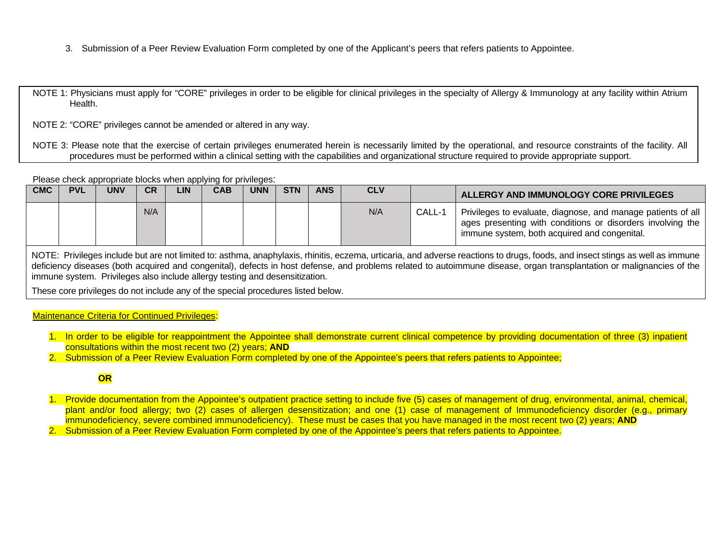3. Submission of a Peer Review Evaluation Form completed by one of the Applicant's peers that refers patients to Appointee.

NOTE 1: Physicians must apply for "CORE" privileges in order to be eligible for clinical privileges in the specialty of Allergy & Immunology at any facility within Atrium Health.

NOTE 2: "CORE" privileges cannot be amended or altered in any way.

NOTE 3: Please note that the exercise of certain privileges enumerated herein is necessarily limited by the operational, and resource constraints of the facility. All procedures must be performed within a clinical setting with the capabilities and organizational structure required to provide appropriate support.

Please check appropriate blocks when applying for privileges:

| <b>CMC</b> | <b>PVL</b> | <b>UNV</b> | <b>CR</b> | <b>LIN</b> | <b>CAB</b> | <b>UNN</b> | <b>STN</b> | <b>ANS</b> | <b>CLV</b> |        | ALLERGY AND IMMUNOLOGY CORE PRIVILEGES                                                                                                                                     |
|------------|------------|------------|-----------|------------|------------|------------|------------|------------|------------|--------|----------------------------------------------------------------------------------------------------------------------------------------------------------------------------|
|            |            |            | N/A       |            |            |            |            |            | N/A        | CALL-1 | Privileges to evaluate, diagnose, and manage patients of all<br>ages presenting with conditions or disorders involving the<br>immune system, both acquired and congenital. |

NOTE: Privileges include but are not limited to: asthma, anaphylaxis, rhinitis, eczema, urticaria, and adverse reactions to drugs, foods, and insect stings as well as immune deficiency diseases (both acquired and congenital), defects in host defense, and problems related to autoimmune disease, organ transplantation or malignancies of the immune system. Privileges also include allergy testing and desensitization.

These core privileges do not include any of the special procedures listed below.

### Maintenance Criteria for Continued Privileges:

- 1. In order to be eligible for reappointment the Appointee shall demonstrate current clinical competence by providing documentation of three (3) inpatient consultations within the most recent two (2) years; **AND**
- 2. Submission of a Peer Review Evaluation Form completed by one of the Appointee's peers that refers patients to Appointee;

# **OR**

- 1. Provide documentation from the Appointee's outpatient practice setting to include five (5) cases of management of drug, environmental, animal, chemical, plant and/or food allergy; two (2) cases of allergen desensitization; and one (1) case of management of Immunodeficiency disorder (e.g., primary immunodeficiency, severe combined immunodeficiency). These must be cases that you have managed in the most recent two (2) years; **AND**
- 2. Submission of a Peer Review Evaluation Form completed by one of the Appointee's peers that refers patients to Appointee.